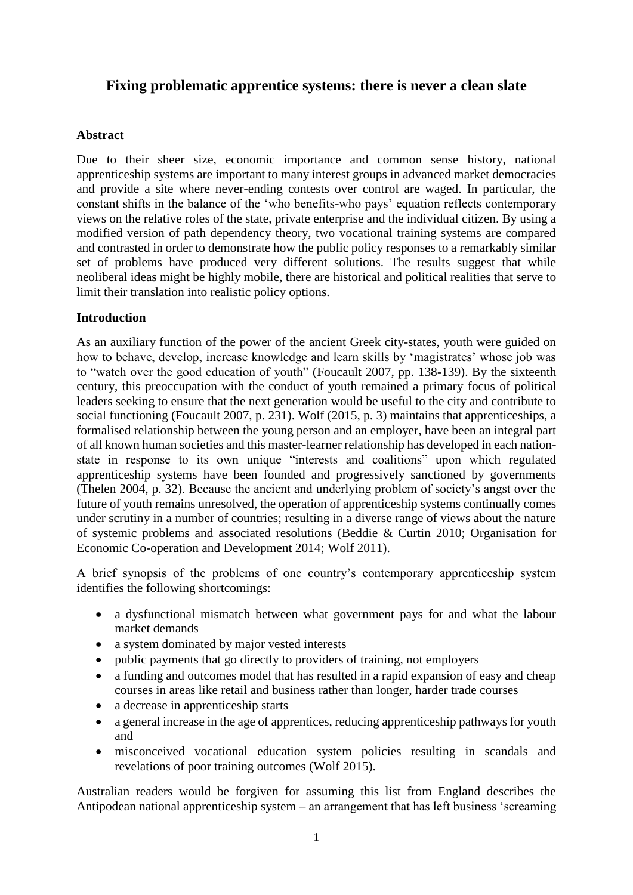# **Fixing problematic apprentice systems: there is never a clean slate**

## **Abstract**

Due to their sheer size, economic importance and common sense history, national apprenticeship systems are important to many interest groups in advanced market democracies and provide a site where never-ending contests over control are waged. In particular, the constant shifts in the balance of the 'who benefits-who pays' equation reflects contemporary views on the relative roles of the state, private enterprise and the individual citizen. By using a modified version of path dependency theory, two vocational training systems are compared and contrasted in order to demonstrate how the public policy responses to a remarkably similar set of problems have produced very different solutions. The results suggest that while neoliberal ideas might be highly mobile, there are historical and political realities that serve to limit their translation into realistic policy options.

## **Introduction**

As an auxiliary function of the power of the ancient Greek city-states, youth were guided on how to behave, develop, increase knowledge and learn skills by 'magistrates' whose job was to "watch over the good education of youth" (Foucault 2007, pp. 138-139). By the sixteenth century, this preoccupation with the conduct of youth remained a primary focus of political leaders seeking to ensure that the next generation would be useful to the city and contribute to social functioning (Foucault 2007, p. 231). Wolf (2015, p. 3) maintains that apprenticeships, a formalised relationship between the young person and an employer, have been an integral part of all known human societies and this master-learner relationship has developed in each nationstate in response to its own unique "interests and coalitions" upon which regulated apprenticeship systems have been founded and progressively sanctioned by governments (Thelen 2004, p. 32). Because the ancient and underlying problem of society's angst over the future of youth remains unresolved, the operation of apprenticeship systems continually comes under scrutiny in a number of countries; resulting in a diverse range of views about the nature of systemic problems and associated resolutions (Beddie & Curtin 2010; Organisation for Economic Co-operation and Development 2014; Wolf 2011).

A brief synopsis of the problems of one country's contemporary apprenticeship system identifies the following shortcomings:

- a dysfunctional mismatch between what government pays for and what the labour market demands
- a system dominated by major vested interests
- public payments that go directly to providers of training, not employers
- a funding and outcomes model that has resulted in a rapid expansion of easy and cheap courses in areas like retail and business rather than longer, harder trade courses
- a decrease in apprenticeship starts
- a general increase in the age of apprentices, reducing apprenticeship pathways for youth and
- misconceived vocational education system policies resulting in scandals and revelations of poor training outcomes (Wolf 2015).

Australian readers would be forgiven for assuming this list from England describes the Antipodean national apprenticeship system – an arrangement that has left business 'screaming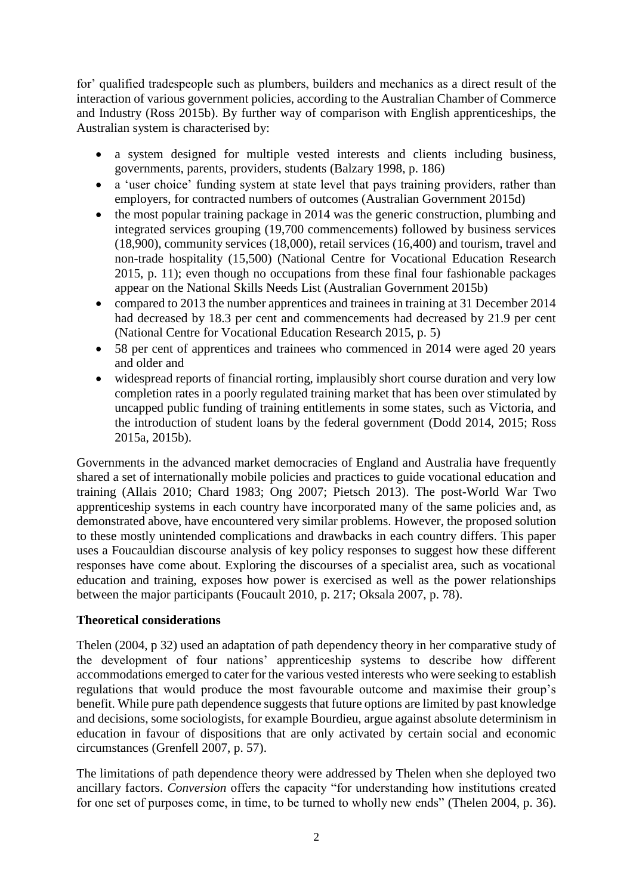for' qualified tradespeople such as plumbers, builders and mechanics as a direct result of the interaction of various government policies, according to the Australian Chamber of Commerce and Industry (Ross 2015b). By further way of comparison with English apprenticeships, the Australian system is characterised by:

- a system designed for multiple vested interests and clients including business, governments, parents, providers, students (Balzary 1998, p. 186)
- a 'user choice' funding system at state level that pays training providers, rather than employers, for contracted numbers of outcomes (Australian Government 2015d)
- the most popular training package in 2014 was the generic construction, plumbing and integrated services grouping (19,700 commencements) followed by business services (18,900), community services (18,000), retail services (16,400) and tourism, travel and non-trade hospitality (15,500) (National Centre for Vocational Education Research 2015, p. 11); even though no occupations from these final four fashionable packages appear on the National Skills Needs List (Australian Government 2015b)
- compared to 2013 the number apprentices and trainees in training at 31 December 2014 had decreased by 18.3 per cent and commencements had decreased by 21.9 per cent (National Centre for Vocational Education Research 2015, p. 5)
- 58 per cent of apprentices and trainees who commenced in 2014 were aged 20 years and older and
- widespread reports of financial rorting, implausibly short course duration and very low completion rates in a poorly regulated training market that has been over stimulated by uncapped public funding of training entitlements in some states, such as Victoria, and the introduction of student loans by the federal government (Dodd 2014, 2015; Ross 2015a, 2015b).

Governments in the advanced market democracies of England and Australia have frequently shared a set of internationally mobile policies and practices to guide vocational education and training (Allais 2010; Chard 1983; Ong 2007; Pietsch 2013). The post-World War Two apprenticeship systems in each country have incorporated many of the same policies and, as demonstrated above, have encountered very similar problems. However, the proposed solution to these mostly unintended complications and drawbacks in each country differs. This paper uses a Foucauldian discourse analysis of key policy responses to suggest how these different responses have come about. Exploring the discourses of a specialist area, such as vocational education and training, exposes how power is exercised as well as the power relationships between the major participants (Foucault 2010, p. 217; Oksala 2007, p. 78).

### **Theoretical considerations**

Thelen (2004, p 32) used an adaptation of path dependency theory in her comparative study of the development of four nations' apprenticeship systems to describe how different accommodations emerged to cater for the various vested interests who were seeking to establish regulations that would produce the most favourable outcome and maximise their group's benefit. While pure path dependence suggests that future options are limited by past knowledge and decisions, some sociologists, for example Bourdieu, argue against absolute determinism in education in favour of dispositions that are only activated by certain social and economic circumstances (Grenfell 2007, p. 57).

The limitations of path dependence theory were addressed by Thelen when she deployed two ancillary factors. *Conversion* offers the capacity "for understanding how institutions created for one set of purposes come, in time, to be turned to wholly new ends" (Thelen 2004, p. 36).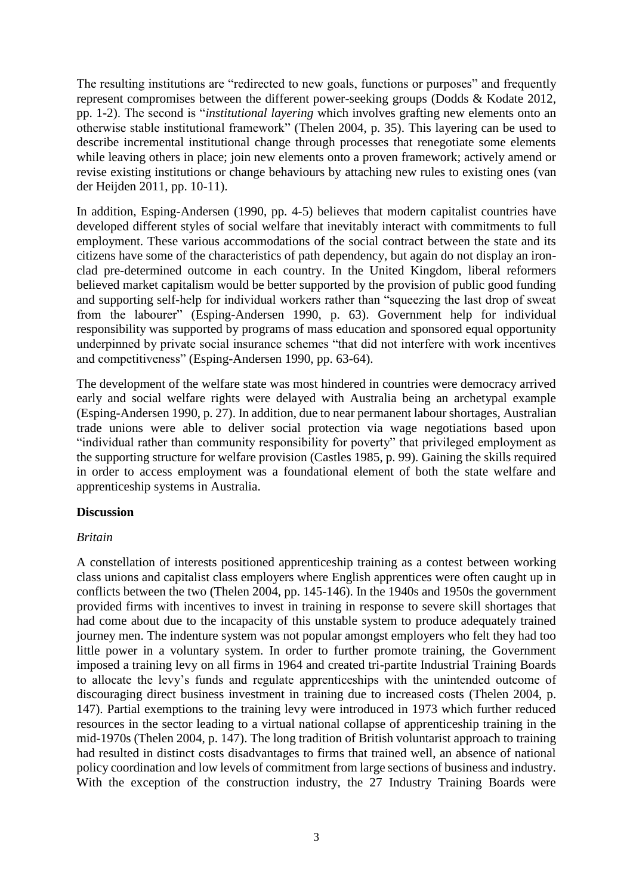The resulting institutions are "redirected to new goals, functions or purposes" and frequently represent compromises between the different power-seeking groups (Dodds & Kodate 2012, pp. 1-2). The second is "*institutional layering* which involves grafting new elements onto an otherwise stable institutional framework" (Thelen 2004, p. 35). This layering can be used to describe incremental institutional change through processes that renegotiate some elements while leaving others in place; join new elements onto a proven framework; actively amend or revise existing institutions or change behaviours by attaching new rules to existing ones (van der Heijden 2011, pp. 10-11).

In addition, Esping-Andersen (1990, pp. 4-5) believes that modern capitalist countries have developed different styles of social welfare that inevitably interact with commitments to full employment. These various accommodations of the social contract between the state and its citizens have some of the characteristics of path dependency, but again do not display an ironclad pre-determined outcome in each country. In the United Kingdom, liberal reformers believed market capitalism would be better supported by the provision of public good funding and supporting self-help for individual workers rather than "squeezing the last drop of sweat from the labourer" (Esping-Andersen 1990, p. 63). Government help for individual responsibility was supported by programs of mass education and sponsored equal opportunity underpinned by private social insurance schemes "that did not interfere with work incentives and competitiveness" (Esping-Andersen 1990, pp. 63-64).

The development of the welfare state was most hindered in countries were democracy arrived early and social welfare rights were delayed with Australia being an archetypal example (Esping-Andersen 1990, p. 27). In addition, due to near permanent labour shortages, Australian trade unions were able to deliver social protection via wage negotiations based upon "individual rather than community responsibility for poverty" that privileged employment as the supporting structure for welfare provision (Castles 1985, p. 99). Gaining the skills required in order to access employment was a foundational element of both the state welfare and apprenticeship systems in Australia.

### **Discussion**

### *Britain*

A constellation of interests positioned apprenticeship training as a contest between working class unions and capitalist class employers where English apprentices were often caught up in conflicts between the two (Thelen 2004, pp. 145-146). In the 1940s and 1950s the government provided firms with incentives to invest in training in response to severe skill shortages that had come about due to the incapacity of this unstable system to produce adequately trained journey men. The indenture system was not popular amongst employers who felt they had too little power in a voluntary system. In order to further promote training, the Government imposed a training levy on all firms in 1964 and created tri-partite Industrial Training Boards to allocate the levy's funds and regulate apprenticeships with the unintended outcome of discouraging direct business investment in training due to increased costs (Thelen 2004, p. 147). Partial exemptions to the training levy were introduced in 1973 which further reduced resources in the sector leading to a virtual national collapse of apprenticeship training in the mid-1970s (Thelen 2004, p. 147). The long tradition of British voluntarist approach to training had resulted in distinct costs disadvantages to firms that trained well, an absence of national policy coordination and low levels of commitment from large sections of business and industry. With the exception of the construction industry, the 27 Industry Training Boards were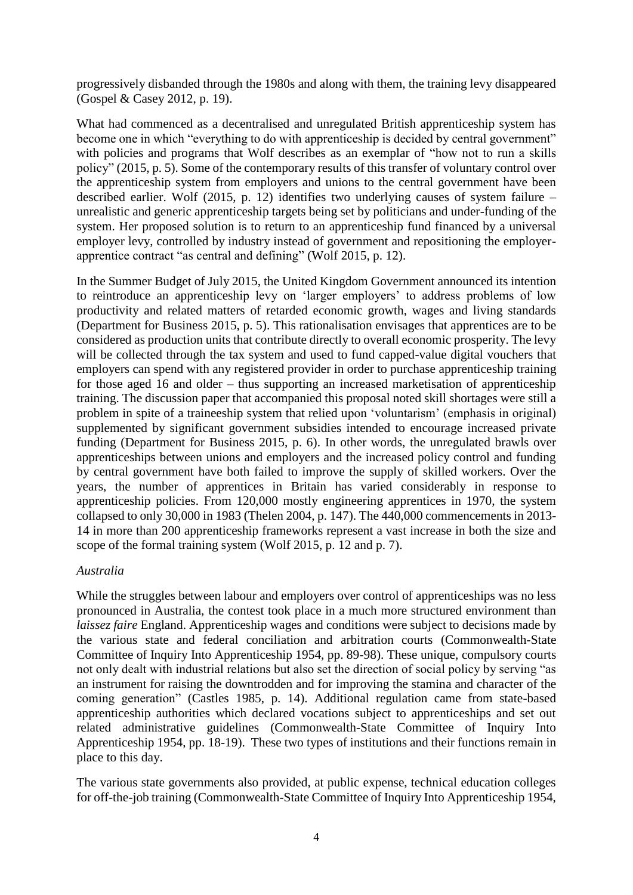progressively disbanded through the 1980s and along with them, the training levy disappeared (Gospel & Casey 2012, p. 19).

What had commenced as a decentralised and unregulated British apprenticeship system has become one in which "everything to do with apprenticeship is decided by central government" with policies and programs that Wolf describes as an exemplar of "how not to run a skills" policy" (2015, p. 5). Some of the contemporary results of this transfer of voluntary control over the apprenticeship system from employers and unions to the central government have been described earlier. Wolf (2015, p. 12) identifies two underlying causes of system failure – unrealistic and generic apprenticeship targets being set by politicians and under-funding of the system. Her proposed solution is to return to an apprenticeship fund financed by a universal employer levy, controlled by industry instead of government and repositioning the employerapprentice contract "as central and defining" (Wolf 2015, p. 12).

In the Summer Budget of July 2015, the United Kingdom Government announced its intention to reintroduce an apprenticeship levy on 'larger employers' to address problems of low productivity and related matters of retarded economic growth, wages and living standards (Department for Business 2015, p. 5). This rationalisation envisages that apprentices are to be considered as production units that contribute directly to overall economic prosperity. The levy will be collected through the tax system and used to fund capped-value digital vouchers that employers can spend with any registered provider in order to purchase apprenticeship training for those aged 16 and older – thus supporting an increased marketisation of apprenticeship training. The discussion paper that accompanied this proposal noted skill shortages were still a problem in spite of a traineeship system that relied upon 'voluntarism' (emphasis in original) supplemented by significant government subsidies intended to encourage increased private funding (Department for Business 2015, p. 6). In other words, the unregulated brawls over apprenticeships between unions and employers and the increased policy control and funding by central government have both failed to improve the supply of skilled workers. Over the years, the number of apprentices in Britain has varied considerably in response to apprenticeship policies. From 120,000 mostly engineering apprentices in 1970, the system collapsed to only 30,000 in 1983 (Thelen 2004, p. 147). The 440,000 commencements in 2013- 14 in more than 200 apprenticeship frameworks represent a vast increase in both the size and scope of the formal training system (Wolf 2015, p. 12 and p. 7).

### *Australia*

While the struggles between labour and employers over control of apprenticeships was no less pronounced in Australia, the contest took place in a much more structured environment than *laissez faire* England. Apprenticeship wages and conditions were subject to decisions made by the various state and federal conciliation and arbitration courts (Commonwealth-State Committee of Inquiry Into Apprenticeship 1954, pp. 89-98). These unique, compulsory courts not only dealt with industrial relations but also set the direction of social policy by serving "as an instrument for raising the downtrodden and for improving the stamina and character of the coming generation" (Castles 1985, p. 14). Additional regulation came from state-based apprenticeship authorities which declared vocations subject to apprenticeships and set out related administrative guidelines (Commonwealth-State Committee of Inquiry Into Apprenticeship 1954, pp. 18-19). These two types of institutions and their functions remain in place to this day.

The various state governments also provided, at public expense, technical education colleges for off-the-job training (Commonwealth-State Committee of Inquiry Into Apprenticeship 1954,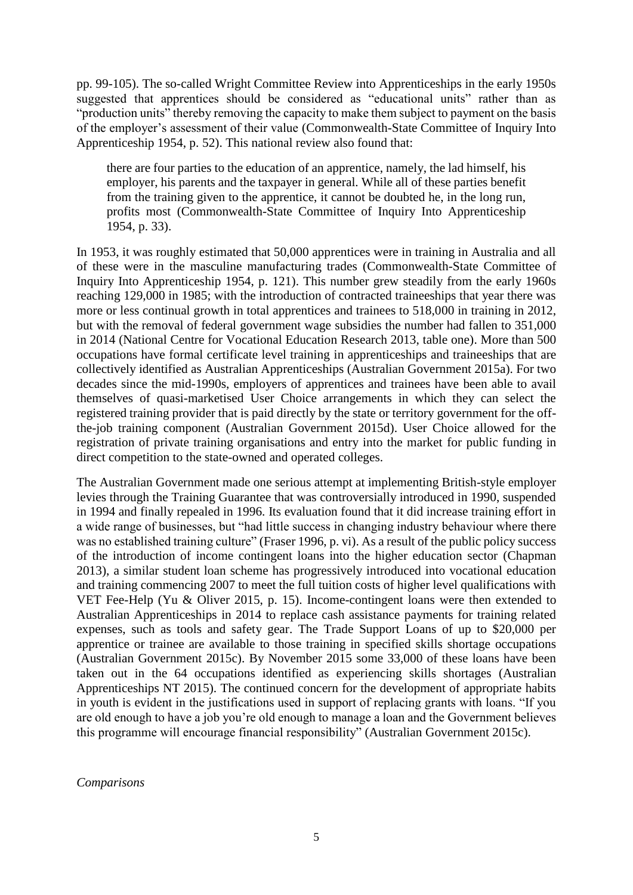pp. 99-105). The so-called Wright Committee Review into Apprenticeships in the early 1950s suggested that apprentices should be considered as "educational units" rather than as "production units" thereby removing the capacity to make them subject to payment on the basis of the employer's assessment of their value (Commonwealth-State Committee of Inquiry Into Apprenticeship 1954, p. 52). This national review also found that:

there are four parties to the education of an apprentice, namely, the lad himself, his employer, his parents and the taxpayer in general. While all of these parties benefit from the training given to the apprentice, it cannot be doubted he, in the long run, profits most (Commonwealth-State Committee of Inquiry Into Apprenticeship 1954, p. 33).

In 1953, it was roughly estimated that 50,000 apprentices were in training in Australia and all of these were in the masculine manufacturing trades (Commonwealth-State Committee of Inquiry Into Apprenticeship 1954, p. 121). This number grew steadily from the early 1960s reaching 129,000 in 1985; with the introduction of contracted traineeships that year there was more or less continual growth in total apprentices and trainees to 518,000 in training in 2012, but with the removal of federal government wage subsidies the number had fallen to 351,000 in 2014 (National Centre for Vocational Education Research 2013, table one). More than 500 occupations have formal certificate level training in apprenticeships and traineeships that are collectively identified as Australian Apprenticeships (Australian Government 2015a). For two decades since the mid-1990s, employers of apprentices and trainees have been able to avail themselves of quasi-marketised User Choice arrangements in which they can select the registered training provider that is paid directly by the state or territory government for the offthe-job training component (Australian Government 2015d). User Choice allowed for the registration of private training organisations and entry into the market for public funding in direct competition to the state-owned and operated colleges.

The Australian Government made one serious attempt at implementing British-style employer levies through the Training Guarantee that was controversially introduced in 1990, suspended in 1994 and finally repealed in 1996. Its evaluation found that it did increase training effort in a wide range of businesses, but "had little success in changing industry behaviour where there was no established training culture" (Fraser 1996, p. vi). As a result of the public policy success of the introduction of income contingent loans into the higher education sector (Chapman 2013), a similar student loan scheme has progressively introduced into vocational education and training commencing 2007 to meet the full tuition costs of higher level qualifications with VET Fee-Help (Yu & Oliver 2015, p. 15). Income-contingent loans were then extended to Australian Apprenticeships in 2014 to replace cash assistance payments for training related expenses, such as tools and safety gear. The Trade Support Loans of up to \$20,000 per apprentice or trainee are available to those training in specified skills shortage occupations (Australian Government 2015c). By November 2015 some 33,000 of these loans have been taken out in the 64 occupations identified as experiencing skills shortages (Australian Apprenticeships NT 2015). The continued concern for the development of appropriate habits in youth is evident in the justifications used in support of replacing grants with loans. "If you are old enough to have a job you're old enough to manage a loan and the Government believes this programme will encourage financial responsibility" (Australian Government 2015c).

*Comparisons*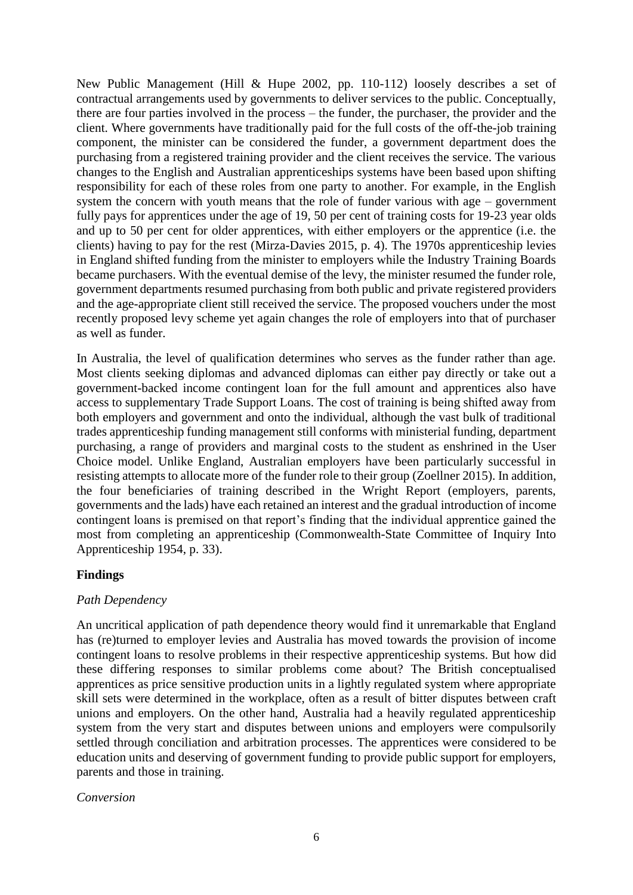New Public Management (Hill & Hupe 2002, pp. 110-112) loosely describes a set of contractual arrangements used by governments to deliver services to the public. Conceptually, there are four parties involved in the process – the funder, the purchaser, the provider and the client. Where governments have traditionally paid for the full costs of the off-the-job training component, the minister can be considered the funder, a government department does the purchasing from a registered training provider and the client receives the service. The various changes to the English and Australian apprenticeships systems have been based upon shifting responsibility for each of these roles from one party to another. For example, in the English system the concern with youth means that the role of funder various with age – government fully pays for apprentices under the age of 19, 50 per cent of training costs for 19-23 year olds and up to 50 per cent for older apprentices, with either employers or the apprentice (i.e. the clients) having to pay for the rest (Mirza-Davies 2015, p. 4). The 1970s apprenticeship levies in England shifted funding from the minister to employers while the Industry Training Boards became purchasers. With the eventual demise of the levy, the minister resumed the funder role, government departments resumed purchasing from both public and private registered providers and the age-appropriate client still received the service. The proposed vouchers under the most recently proposed levy scheme yet again changes the role of employers into that of purchaser as well as funder.

In Australia, the level of qualification determines who serves as the funder rather than age. Most clients seeking diplomas and advanced diplomas can either pay directly or take out a government-backed income contingent loan for the full amount and apprentices also have access to supplementary Trade Support Loans. The cost of training is being shifted away from both employers and government and onto the individual, although the vast bulk of traditional trades apprenticeship funding management still conforms with ministerial funding, department purchasing, a range of providers and marginal costs to the student as enshrined in the User Choice model. Unlike England, Australian employers have been particularly successful in resisting attempts to allocate more of the funder role to their group (Zoellner 2015). In addition, the four beneficiaries of training described in the Wright Report (employers, parents, governments and the lads) have each retained an interest and the gradual introduction of income contingent loans is premised on that report's finding that the individual apprentice gained the most from completing an apprenticeship (Commonwealth-State Committee of Inquiry Into Apprenticeship 1954, p. 33).

# **Findings**

### *Path Dependency*

An uncritical application of path dependence theory would find it unremarkable that England has (re)turned to employer levies and Australia has moved towards the provision of income contingent loans to resolve problems in their respective apprenticeship systems. But how did these differing responses to similar problems come about? The British conceptualised apprentices as price sensitive production units in a lightly regulated system where appropriate skill sets were determined in the workplace, often as a result of bitter disputes between craft unions and employers. On the other hand, Australia had a heavily regulated apprenticeship system from the very start and disputes between unions and employers were compulsorily settled through conciliation and arbitration processes. The apprentices were considered to be education units and deserving of government funding to provide public support for employers, parents and those in training.

### *Conversion*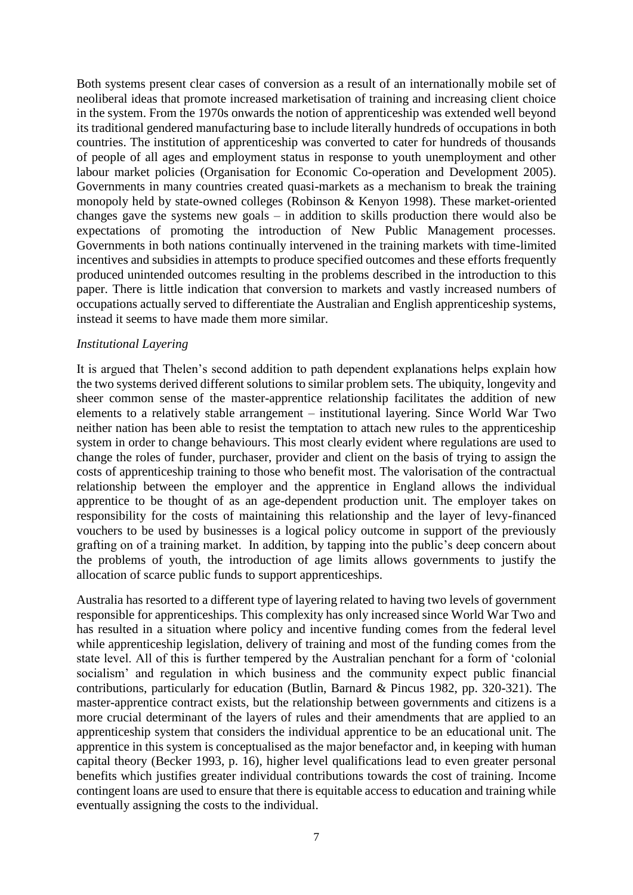Both systems present clear cases of conversion as a result of an internationally mobile set of neoliberal ideas that promote increased marketisation of training and increasing client choice in the system. From the 1970s onwards the notion of apprenticeship was extended well beyond its traditional gendered manufacturing base to include literally hundreds of occupations in both countries. The institution of apprenticeship was converted to cater for hundreds of thousands of people of all ages and employment status in response to youth unemployment and other labour market policies (Organisation for Economic Co-operation and Development 2005). Governments in many countries created quasi-markets as a mechanism to break the training monopoly held by state-owned colleges (Robinson & Kenyon 1998). These market-oriented changes gave the systems new goals – in addition to skills production there would also be expectations of promoting the introduction of New Public Management processes. Governments in both nations continually intervened in the training markets with time-limited incentives and subsidies in attempts to produce specified outcomes and these efforts frequently produced unintended outcomes resulting in the problems described in the introduction to this paper. There is little indication that conversion to markets and vastly increased numbers of occupations actually served to differentiate the Australian and English apprenticeship systems, instead it seems to have made them more similar.

### *Institutional Layering*

It is argued that Thelen's second addition to path dependent explanations helps explain how the two systems derived different solutions to similar problem sets. The ubiquity, longevity and sheer common sense of the master-apprentice relationship facilitates the addition of new elements to a relatively stable arrangement – institutional layering. Since World War Two neither nation has been able to resist the temptation to attach new rules to the apprenticeship system in order to change behaviours. This most clearly evident where regulations are used to change the roles of funder, purchaser, provider and client on the basis of trying to assign the costs of apprenticeship training to those who benefit most. The valorisation of the contractual relationship between the employer and the apprentice in England allows the individual apprentice to be thought of as an age-dependent production unit. The employer takes on responsibility for the costs of maintaining this relationship and the layer of levy-financed vouchers to be used by businesses is a logical policy outcome in support of the previously grafting on of a training market. In addition, by tapping into the public's deep concern about the problems of youth, the introduction of age limits allows governments to justify the allocation of scarce public funds to support apprenticeships.

Australia has resorted to a different type of layering related to having two levels of government responsible for apprenticeships. This complexity has only increased since World War Two and has resulted in a situation where policy and incentive funding comes from the federal level while apprenticeship legislation, delivery of training and most of the funding comes from the state level. All of this is further tempered by the Australian penchant for a form of 'colonial socialism' and regulation in which business and the community expect public financial contributions, particularly for education (Butlin, Barnard & Pincus 1982, pp. 320-321). The master-apprentice contract exists, but the relationship between governments and citizens is a more crucial determinant of the layers of rules and their amendments that are applied to an apprenticeship system that considers the individual apprentice to be an educational unit. The apprentice in this system is conceptualised as the major benefactor and, in keeping with human capital theory (Becker 1993, p. 16), higher level qualifications lead to even greater personal benefits which justifies greater individual contributions towards the cost of training. Income contingent loans are used to ensure that there is equitable access to education and training while eventually assigning the costs to the individual.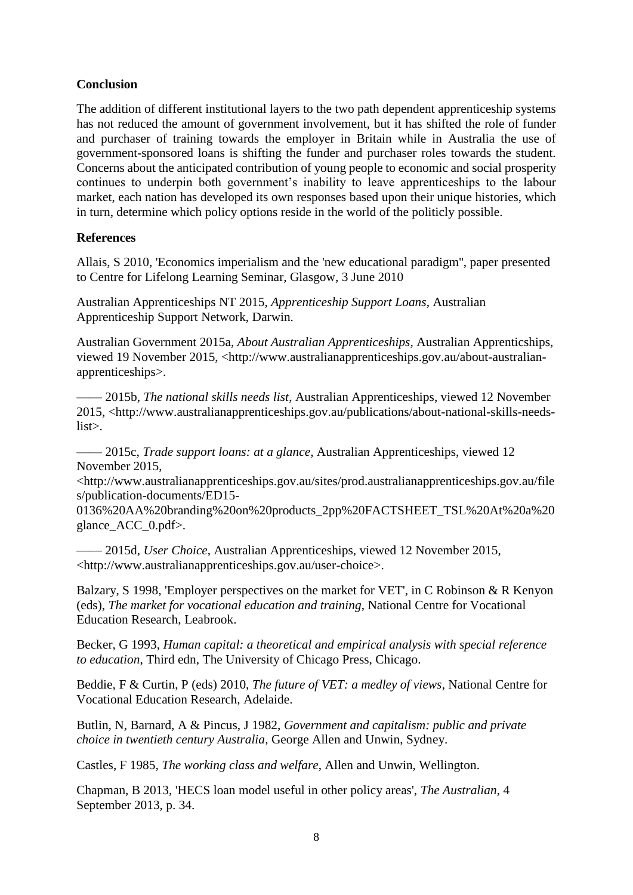# **Conclusion**

The addition of different institutional layers to the two path dependent apprenticeship systems has not reduced the amount of government involvement, but it has shifted the role of funder and purchaser of training towards the employer in Britain while in Australia the use of government-sponsored loans is shifting the funder and purchaser roles towards the student. Concerns about the anticipated contribution of young people to economic and social prosperity continues to underpin both government's inability to leave apprenticeships to the labour market, each nation has developed its own responses based upon their unique histories, which in turn, determine which policy options reside in the world of the politicly possible.

### **References**

Allais, S 2010, 'Economics imperialism and the 'new educational paradigm'', paper presented to Centre for Lifelong Learning Seminar, Glasgow, 3 June 2010

Australian Apprenticeships NT 2015, *Apprenticeship Support Loans*, Australian Apprenticeship Support Network, Darwin.

Australian Government 2015a, *About Australian Apprenticeships*, Australian Apprenticships, viewed 19 November 2015, <http://www.australianapprenticeships.gov.au/about-australianapprenticeships>.

—— 2015b, *The national skills needs list*, Australian Apprenticeships, viewed 12 November 2015, <http://www.australianapprenticeships.gov.au/publications/about-national-skills-needslist>.

—— 2015c, *Trade support loans: at a glance*, Australian Apprenticeships, viewed 12 November 2015,

<http://www.australianapprenticeships.gov.au/sites/prod.australianapprenticeships.gov.au/file s/publication-documents/ED15-

0136%20AA%20branding%20on%20products\_2pp%20FACTSHEET\_TSL%20At%20a%20 glance\_ACC\_0.pdf>.

—— 2015d, *User Choice*, Australian Apprenticeships, viewed 12 November 2015, <http://www.australianapprenticeships.gov.au/user-choice>.

Balzary, S 1998, 'Employer perspectives on the market for VET', in C Robinson & R Kenyon (eds), *The market for vocational education and training*, National Centre for Vocational Education Research, Leabrook.

Becker, G 1993, *Human capital: a theoretical and empirical analysis with special reference to education*, Third edn, The University of Chicago Press, Chicago.

Beddie, F & Curtin, P (eds) 2010, *The future of VET: a medley of views*, National Centre for Vocational Education Research, Adelaide.

Butlin, N, Barnard, A & Pincus, J 1982, *Government and capitalism: public and private choice in twentieth century Australia*, George Allen and Unwin, Sydney.

Castles, F 1985, *The working class and welfare*, Allen and Unwin, Wellington.

Chapman, B 2013, 'HECS loan model useful in other policy areas', *The Australian*, 4 September 2013, p. 34.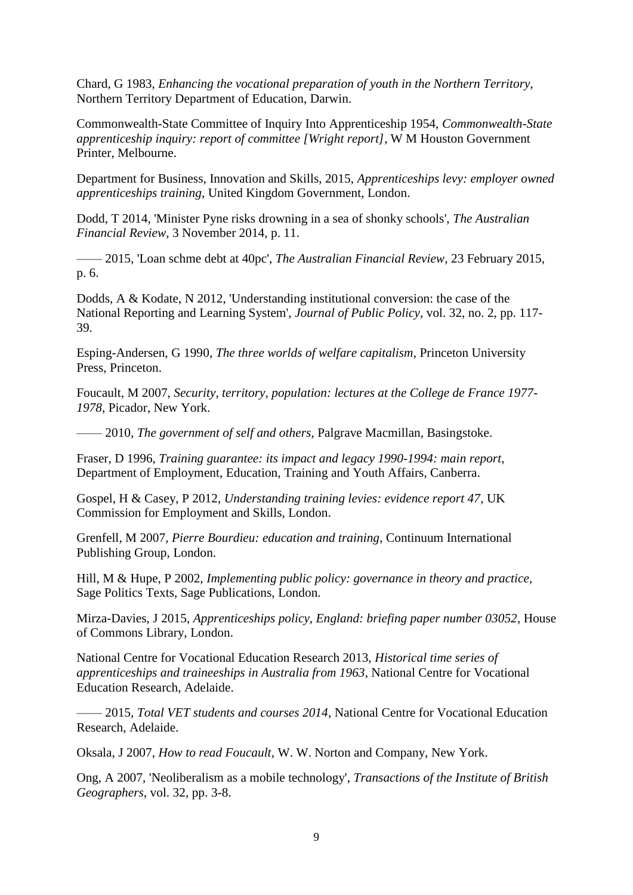Chard, G 1983, *Enhancing the vocational preparation of youth in the Northern Territory*, Northern Territory Department of Education, Darwin.

Commonwealth-State Committee of Inquiry Into Apprenticeship 1954, *Commonwealth-State apprenticeship inquiry: report of committee [Wright report]*, W M Houston Government Printer, Melbourne.

Department for Business, Innovation and Skills, 2015, *Apprenticeships levy: employer owned apprenticeships training*, United Kingdom Government, London.

Dodd, T 2014, 'Minister Pyne risks drowning in a sea of shonky schools', *The Australian Financial Review*, 3 November 2014, p. 11.

—— 2015, 'Loan schme debt at 40pc', *The Australian Financial Review*, 23 February 2015, p. 6.

Dodds, A & Kodate, N 2012, 'Understanding institutional conversion: the case of the National Reporting and Learning System', *Journal of Public Policy*, vol. 32, no. 2, pp. 117- 39.

Esping-Andersen, G 1990, *The three worlds of welfare capitalism*, Princeton University Press, Princeton.

Foucault, M 2007, *Security, territory, population: lectures at the College de France 1977- 1978*, Picador, New York.

—— 2010, *The government of self and others*, Palgrave Macmillan, Basingstoke.

Fraser, D 1996, *Training guarantee: its impact and legacy 1990-1994: main report*, Department of Employment, Education, Training and Youth Affairs, Canberra.

Gospel, H & Casey, P 2012, *Understanding training levies: evidence report 47*, UK Commission for Employment and Skills, London.

Grenfell, M 2007, *Pierre Bourdieu: education and training*, Continuum International Publishing Group, London.

Hill, M & Hupe, P 2002, *Implementing public policy: governance in theory and practice*, Sage Politics Texts, Sage Publications, London.

Mirza-Davies, J 2015, *Apprenticeships policy, England: briefing paper number 03052*, House of Commons Library, London.

National Centre for Vocational Education Research 2013, *Historical time series of apprenticeships and traineeships in Australia from 1963*, National Centre for Vocational Education Research, Adelaide.

—— 2015, *Total VET students and courses 2014*, National Centre for Vocational Education Research, Adelaide.

Oksala, J 2007, *How to read Foucault*, W. W. Norton and Company, New York.

Ong, A 2007, 'Neoliberalism as a mobile technology', *Transactions of the Institute of British Geographers*, vol. 32, pp. 3-8.